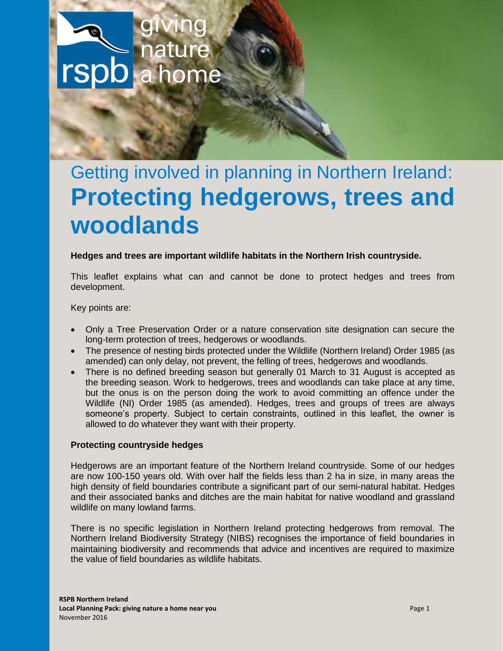

# Getting involved in planning in Northern Ireland: **Protecting hedgerows, trees and woodlands**

# **Hedges and trees are important wildlife habitats in the Northern Irish countryside.**

This leaflet explains what can and cannot be done to protect hedges and trees from development.

Key points are:

- Only a Tree Preservation Order or a nature conservation site designation can secure the long-term protection of trees, hedgerows or woodlands.
- The presence of nesting birds protected under the Wildlife (Northern Ireland) Order 1985 (as amended) can only delay, not prevent, the felling of trees, hedgerows and woodlands.
- There is no defined breeding season but generally 01 March to 31 August is accepted as the breeding season. Work to hedgerows, trees and woodlands can take place at any time, but the onus is on the person doing the work to avoid committing an offence under the Wildlife (NI) Order 1985 (as amended). Hedges, trees and groups of trees are always someone's property. Subject to certain constraints, outlined in this leaflet, the owner is allowed to do whatever they want with their property.

#### **Protecting countryside hedges**

Hedgerows are an important feature of the Northern Ireland countryside. Some of our hedges are now 100-150 years old. With over half the fields less than 2 ha in size, in many areas the high density of field boundaries contribute a significant part of our semi-natural habitat. Hedges and their associated banks and ditches are the main habitat for native woodland and grassland wildlife on many lowland farms.

There is no specific legislation in Northern Ireland protecting hedgerows from removal. The Northern Ireland Biodiversity Strategy (NIBS) recognises the importance of field boundaries in maintaining biodiversity and recommends that advice and incentives are required to maximize the value of field boundaries as wildlife habitats.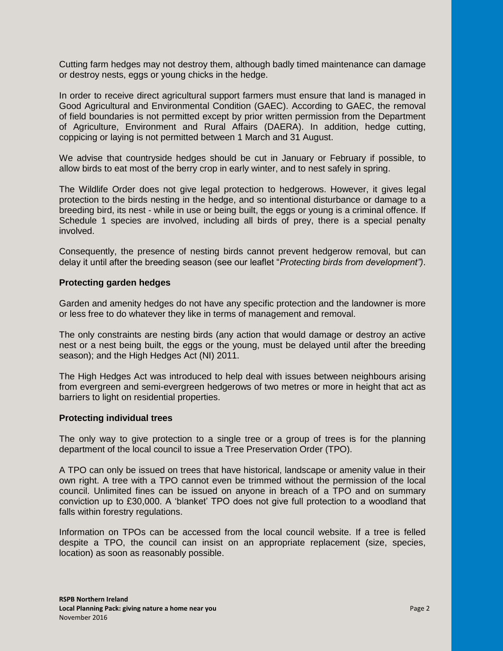Cutting farm hedges may not destroy them, although badly timed maintenance can damage or destroy nests, eggs or young chicks in the hedge.

In order to receive direct agricultural support farmers must ensure that land is managed in Good Agricultural and Environmental Condition (GAEC). According to GAEC, the removal of field boundaries is not permitted except by prior written permission from the Department of Agriculture, Environment and Rural Affairs (DAERA). In addition, hedge cutting, coppicing or laying is not permitted between 1 March and 31 August.

We advise that countryside hedges should be cut in January or February if possible, to allow birds to eat most of the berry crop in early winter, and to nest safely in spring.

The Wildlife Order does not give legal protection to hedgerows. However, it gives legal protection to the birds nesting in the hedge, and so intentional disturbance or damage to a breeding bird, its nest - while in use or being built, the eggs or young is a criminal offence. If Schedule 1 species are involved, including all birds of prey, there is a special penalty involved.

Consequently, the presence of nesting birds cannot prevent hedgerow removal, but can delay it until after the breeding season (see our leaflet "*Protecting birds from development")*.

## **Protecting garden hedges**

Garden and amenity hedges do not have any specific protection and the landowner is more or less free to do whatever they like in terms of management and removal.

The only constraints are nesting birds (any action that would damage or destroy an active nest or a nest being built, the eggs or the young, must be delayed until after the breeding season); and the High Hedges Act (NI) 2011.

The High Hedges Act was introduced to help deal with issues between neighbours arising from evergreen and semi-evergreen hedgerows of two metres or more in height that act as barriers to light on residential properties.

#### **Protecting individual trees**

The only way to give protection to a single tree or a group of trees is for the planning department of the local council to issue a Tree Preservation Order (TPO).

A TPO can only be issued on trees that have historical, landscape or amenity value in their own right. A tree with a TPO cannot even be trimmed without the permission of the local council. Unlimited fines can be issued on anyone in breach of a TPO and on summary conviction up to £30,000. A 'blanket' TPO does not give full protection to a woodland that falls within forestry regulations.

Information on TPOs can be accessed from the local council website. If a tree is felled despite a TPO, the council can insist on an appropriate replacement (size, species, location) as soon as reasonably possible.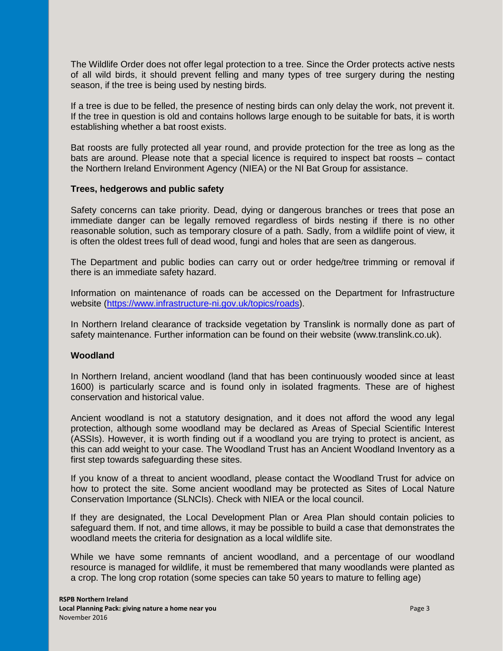The Wildlife Order does not offer legal protection to a tree. Since the Order protects active nests of all wild birds, it should prevent felling and many types of tree surgery during the nesting season, if the tree is being used by nesting birds.

If a tree is due to be felled, the presence of nesting birds can only delay the work, not prevent it. If the tree in question is old and contains hollows large enough to be suitable for bats, it is worth establishing whether a bat roost exists.

Bat roosts are fully protected all year round, and provide protection for the tree as long as the bats are around. Please note that a special licence is required to inspect bat roosts – contact the Northern Ireland Environment Agency (NIEA) or the NI Bat Group for assistance.

## **Trees, hedgerows and public safety**

Safety concerns can take priority. Dead, dying or dangerous branches or trees that pose an immediate danger can be legally removed regardless of birds nesting if there is no other reasonable solution, such as temporary closure of a path. Sadly, from a wildlife point of view, it is often the oldest trees full of dead wood, fungi and holes that are seen as dangerous.

The Department and public bodies can carry out or order hedge/tree trimming or removal if there is an immediate safety hazard.

Information on maintenance of roads can be accessed on the Department for Infrastructure website [\(https://www.infrastructure-ni.gov.uk/topics/roads\)](https://www.infrastructure-ni.gov.uk/topics/roads).

In Northern Ireland clearance of trackside vegetation by Translink is normally done as part of safety maintenance. Further information can be found on their website (www.translink.co.uk).

#### **Woodland**

In Northern Ireland, ancient woodland (land that has been continuously wooded since at least 1600) is particularly scarce and is found only in isolated fragments. These are of highest conservation and historical value.

Ancient woodland is not a statutory designation, and it does not afford the wood any legal protection, although some woodland may be declared as Areas of Special Scientific Interest (ASSIs). However, it is worth finding out if a woodland you are trying to protect is ancient, as this can add weight to your case. The Woodland Trust has an Ancient Woodland Inventory as a first step towards safeguarding these sites.

If you know of a threat to ancient woodland, please contact the Woodland Trust for advice on how to protect the site. Some ancient woodland may be protected as Sites of Local Nature Conservation Importance (SLNCIs). Check with NIEA or the local council.

If they are designated, the Local Development Plan or Area Plan should contain policies to safeguard them. If not, and time allows, it may be possible to build a case that demonstrates the woodland meets the criteria for designation as a local wildlife site.

While we have some remnants of ancient woodland, and a percentage of our woodland resource is managed for wildlife, it must be remembered that many woodlands were planted as a crop. The long crop rotation (some species can take 50 years to mature to felling age)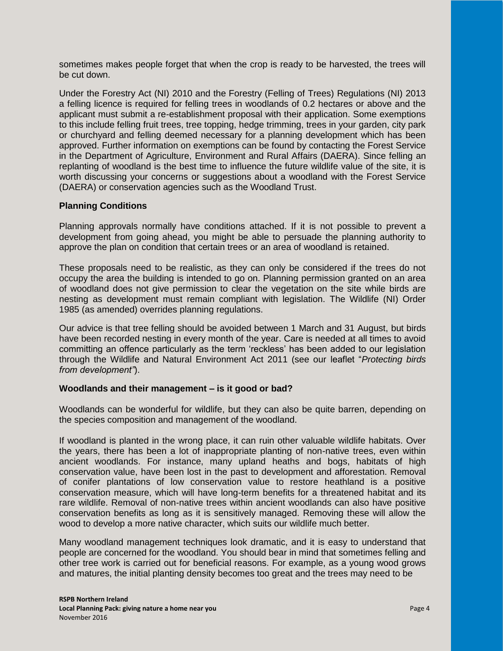sometimes makes people forget that when the crop is ready to be harvested, the trees will be cut down.

Under the Forestry Act (NI) 2010 and the Forestry (Felling of Trees) Regulations (NI) 2013 a felling licence is required for felling trees in woodlands of 0.2 hectares or above and the applicant must submit a re-establishment proposal with their application. Some exemptions to this include felling fruit trees, tree topping, hedge trimming, trees in your garden, city park or churchyard and felling deemed necessary for a planning development which has been approved. Further information on exemptions can be found by contacting the Forest Service in the Department of Agriculture, Environment and Rural Affairs (DAERA). Since felling an replanting of woodland is the best time to influence the future wildlife value of the site, it is worth discussing your concerns or suggestions about a woodland with the Forest Service (DAERA) or conservation agencies such as the Woodland Trust.

# **Planning Conditions**

Planning approvals normally have conditions attached. If it is not possible to prevent a development from going ahead, you might be able to persuade the planning authority to approve the plan on condition that certain trees or an area of woodland is retained.

These proposals need to be realistic, as they can only be considered if the trees do not occupy the area the building is intended to go on. Planning permission granted on an area of woodland does not give permission to clear the vegetation on the site while birds are nesting as development must remain compliant with legislation. The Wildlife (NI) Order 1985 (as amended) overrides planning regulations.

Our advice is that tree felling should be avoided between 1 March and 31 August, but birds have been recorded nesting in every month of the year. Care is needed at all times to avoid committing an offence particularly as the term 'reckless' has been added to our legislation through the Wildlife and Natural Environment Act 2011 (see our leaflet "*Protecting birds from development"*).

#### **Woodlands and their management – is it good or bad?**

Woodlands can be wonderful for wildlife, but they can also be quite barren, depending on the species composition and management of the woodland.

If woodland is planted in the wrong place, it can ruin other valuable wildlife habitats. Over the years, there has been a lot of inappropriate planting of non-native trees, even within ancient woodlands. For instance, many upland heaths and bogs, habitats of high conservation value, have been lost in the past to development and afforestation. Removal of conifer plantations of low conservation value to restore heathland is a positive conservation measure, which will have long-term benefits for a threatened habitat and its rare wildlife. Removal of non-native trees within ancient woodlands can also have positive conservation benefits as long as it is sensitively managed. Removing these will allow the wood to develop a more native character, which suits our wildlife much better.

Many woodland management techniques look dramatic, and it is easy to understand that people are concerned for the woodland. You should bear in mind that sometimes felling and other tree work is carried out for beneficial reasons. For example, as a young wood grows and matures, the initial planting density becomes too great and the trees may need to be